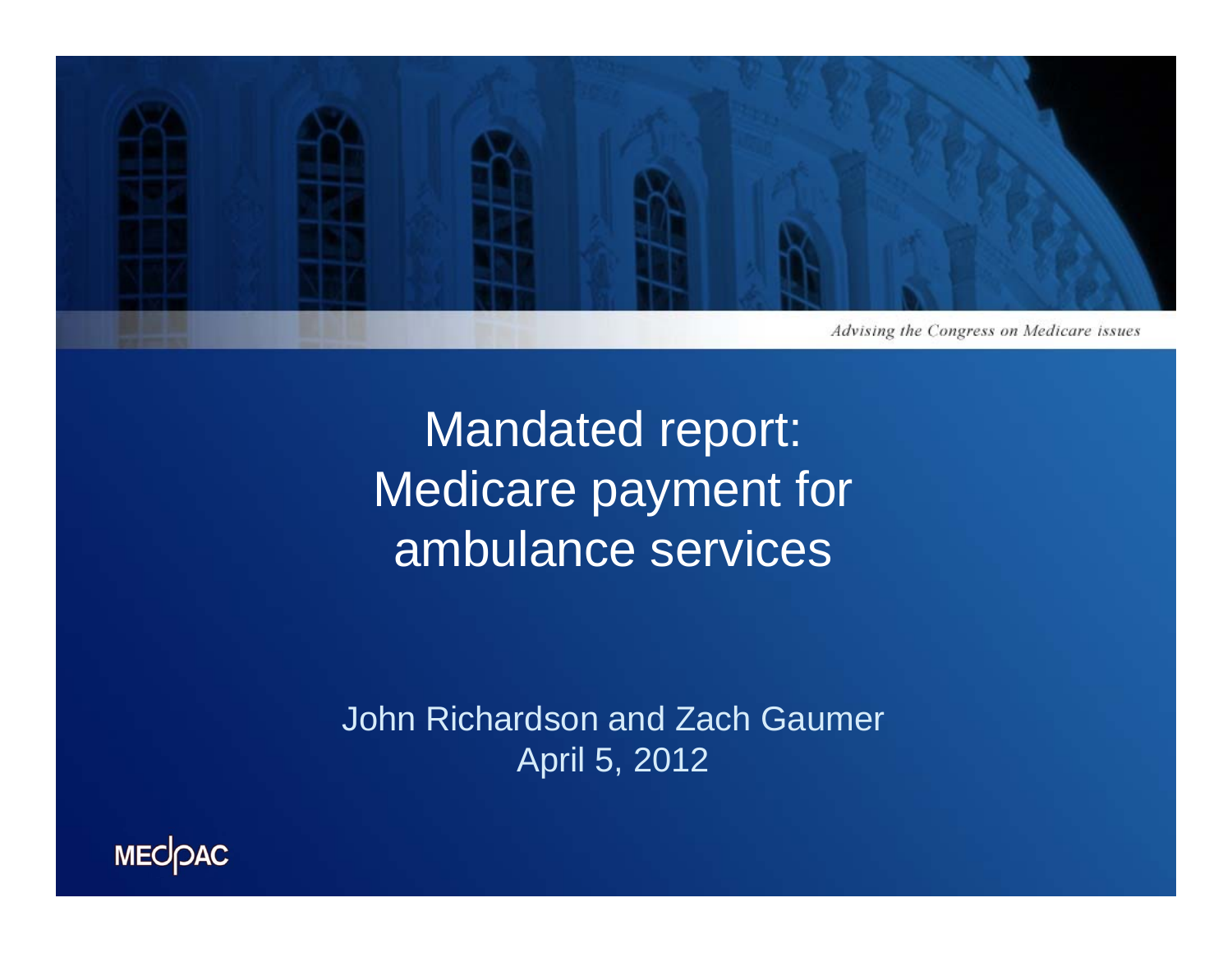

Mandated report: Medicare payment for ambulance services

John Richardson and Zach Gaumer April 5, 2012

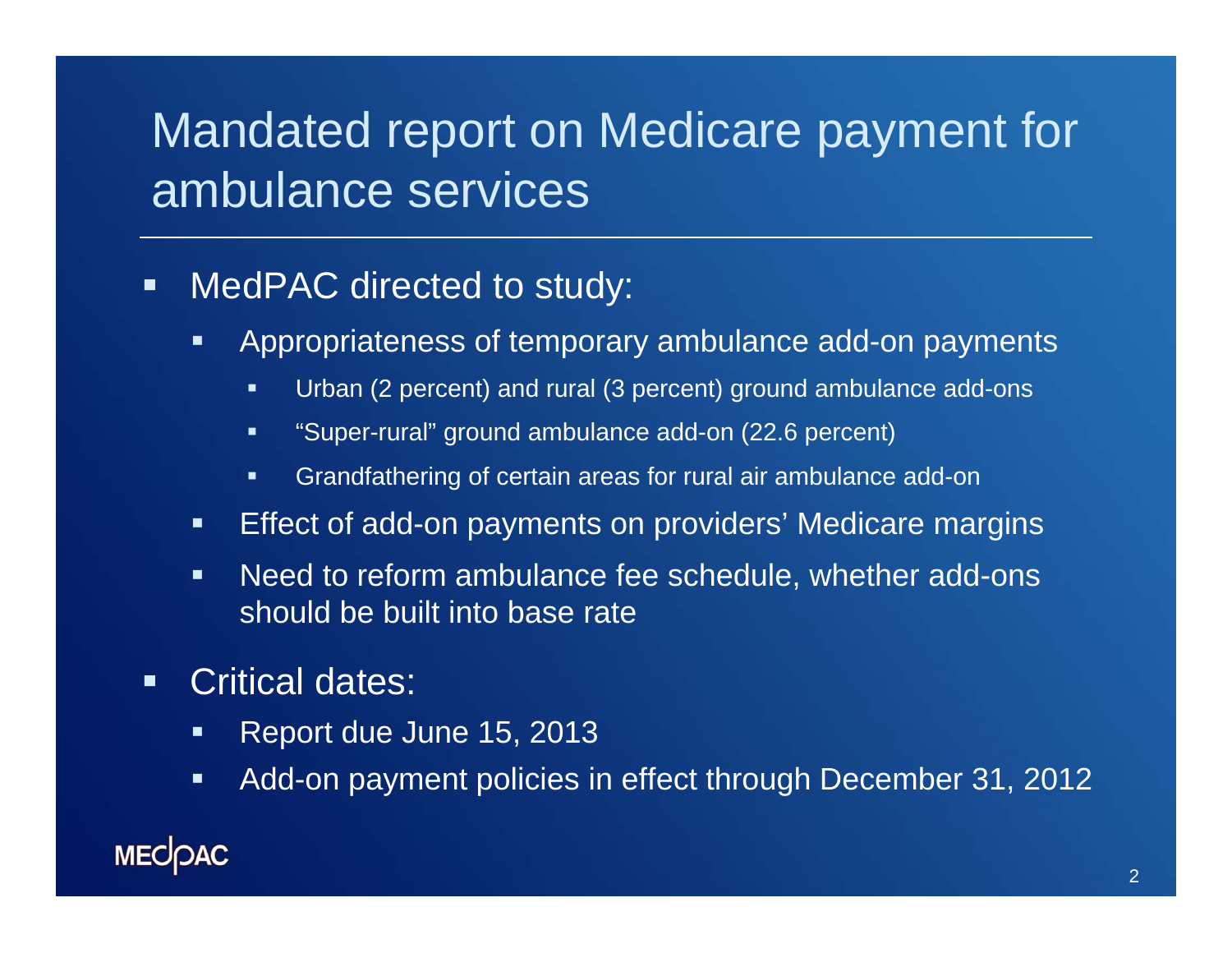### Mandated report on Medicare payment for ambulance services

#### $\blacksquare$ MedPAC directed to study:

- $\blacksquare$  Appropriateness of temporary ambulance add-on payments
	- $\blacksquare$ Urban (2 percent) and rural (3 percent) ground ambulance add-ons
	- $\blacksquare$ "Super-rural" ground ambulance add-on (22.6 percent)
	- П Grandfathering of certain areas for rural air ambulance add-on
- $\blacksquare$ Effect of add-on payments on providers' Medicare margins
- $\blacksquare$  Need to reform ambulance fee schedule, whether add-ons should be built into base rate
- $\blacksquare$  Critical dates:
	- $\blacksquare$ Report due June 15, 2013
	- $\blacksquare$ Add-on payment policies in effect through December 31, 2012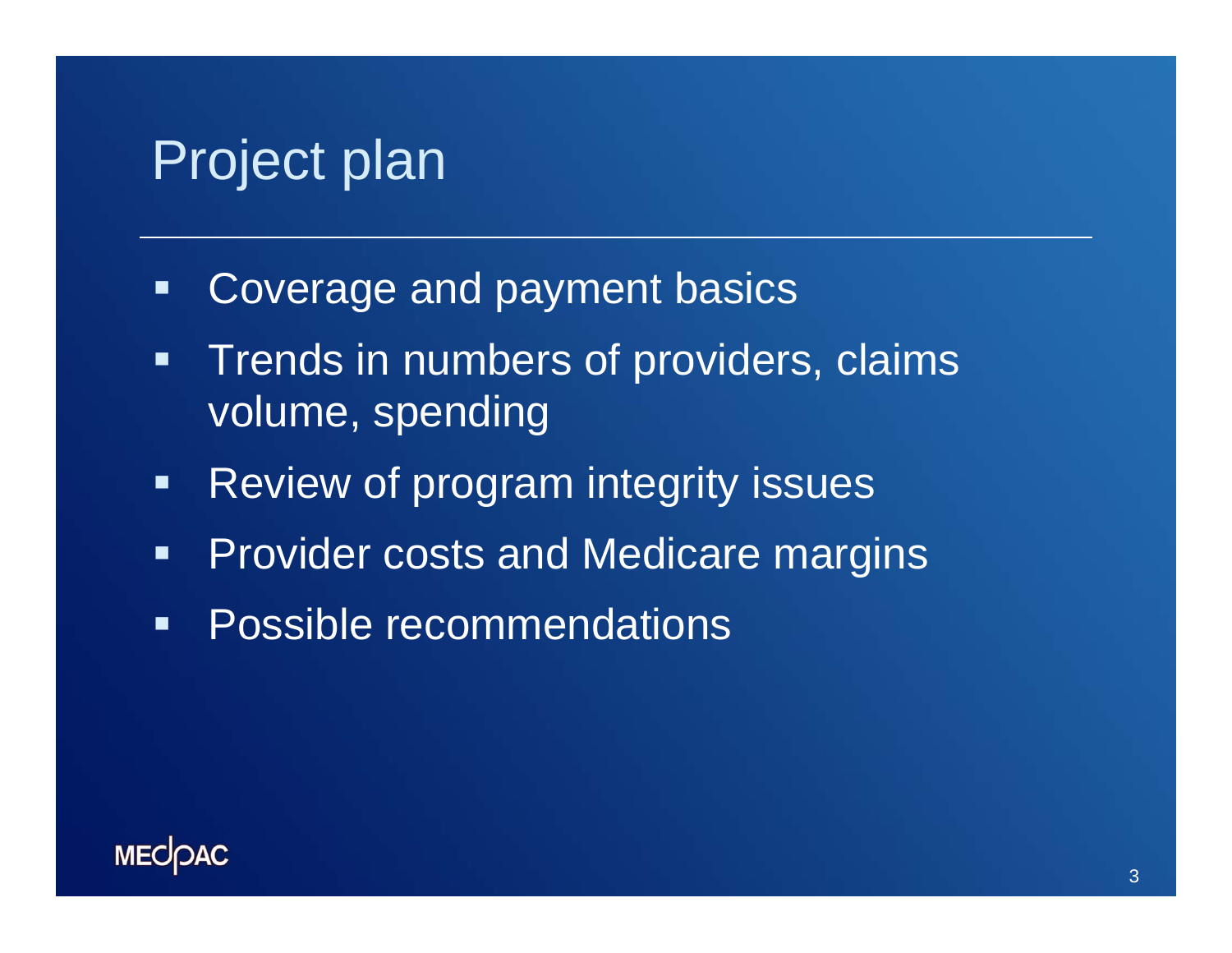## Project plan

- Coverage and payment basics
- $\blacksquare$  Trends in numbers of providers, claims volume, spending
- $\blacksquare$ Review of program integrity issues
- $\blacksquare$ Provider costs and Medicare margins
- $\blacksquare$ Possible recommendations

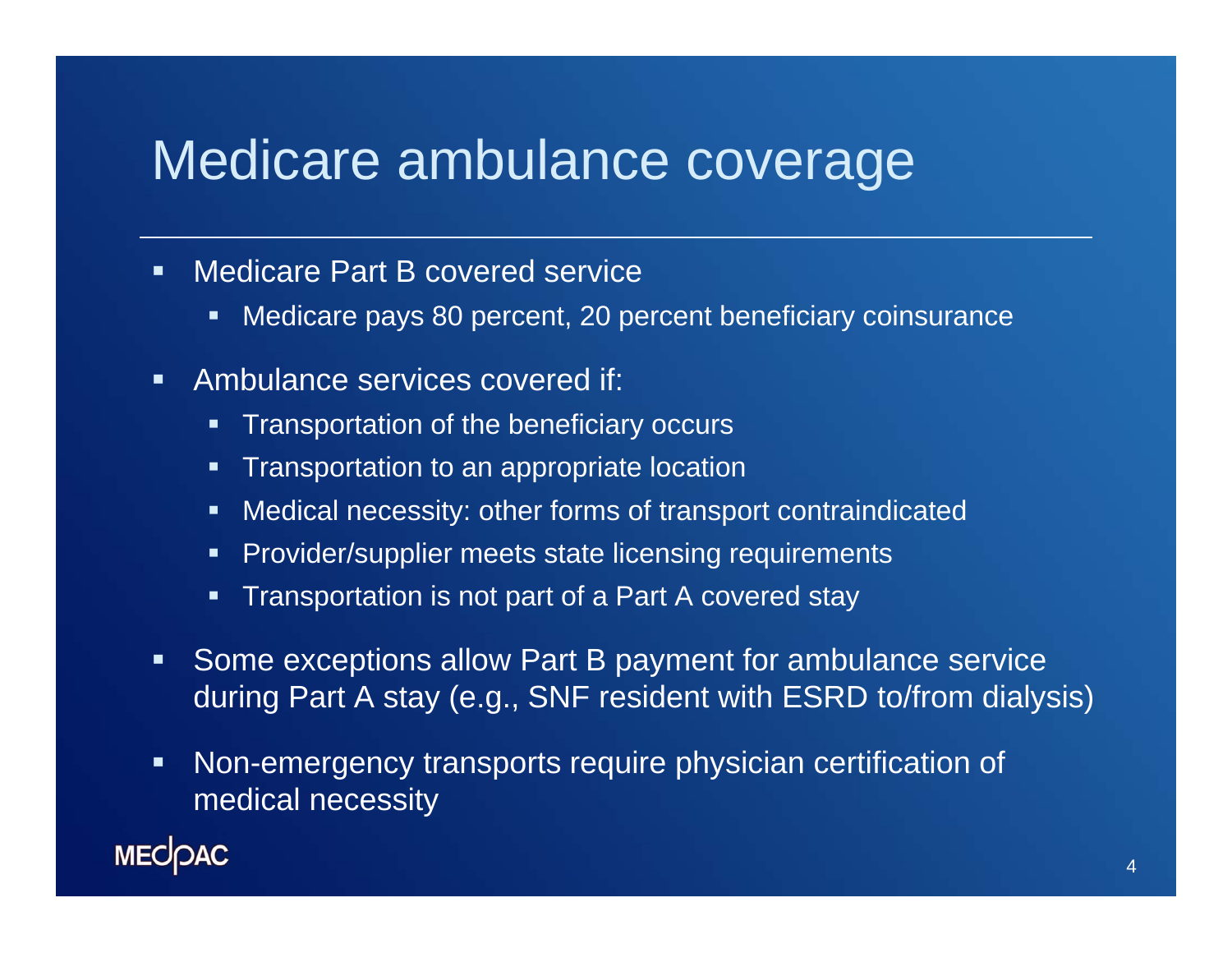### Medicare ambulance coverage

- $\blacksquare$ **EXEC** Medicare Part B covered service
	- ш Medicare pays 80 percent, 20 percent beneficiary coinsurance
- $\blacksquare$  Ambulance services covered if:
	- ш Transportation of the beneficiary occurs
	- **Transportation to an appropriate location**
	- $\blacksquare$ Medical necessity: other forms of transport contraindicated
	- п, Provider/supplier meets state licensing requirements
	- П Transportation is not part of a Part A covered stay
- $\blacksquare$  Some exceptions allow Part B payment for ambulance service during Part A stay (e.g., SNF resident with ESRD to/from dialysis)
- $\blacksquare$  Non-emergency transports require physician certification of medical necessity

**MECOAC**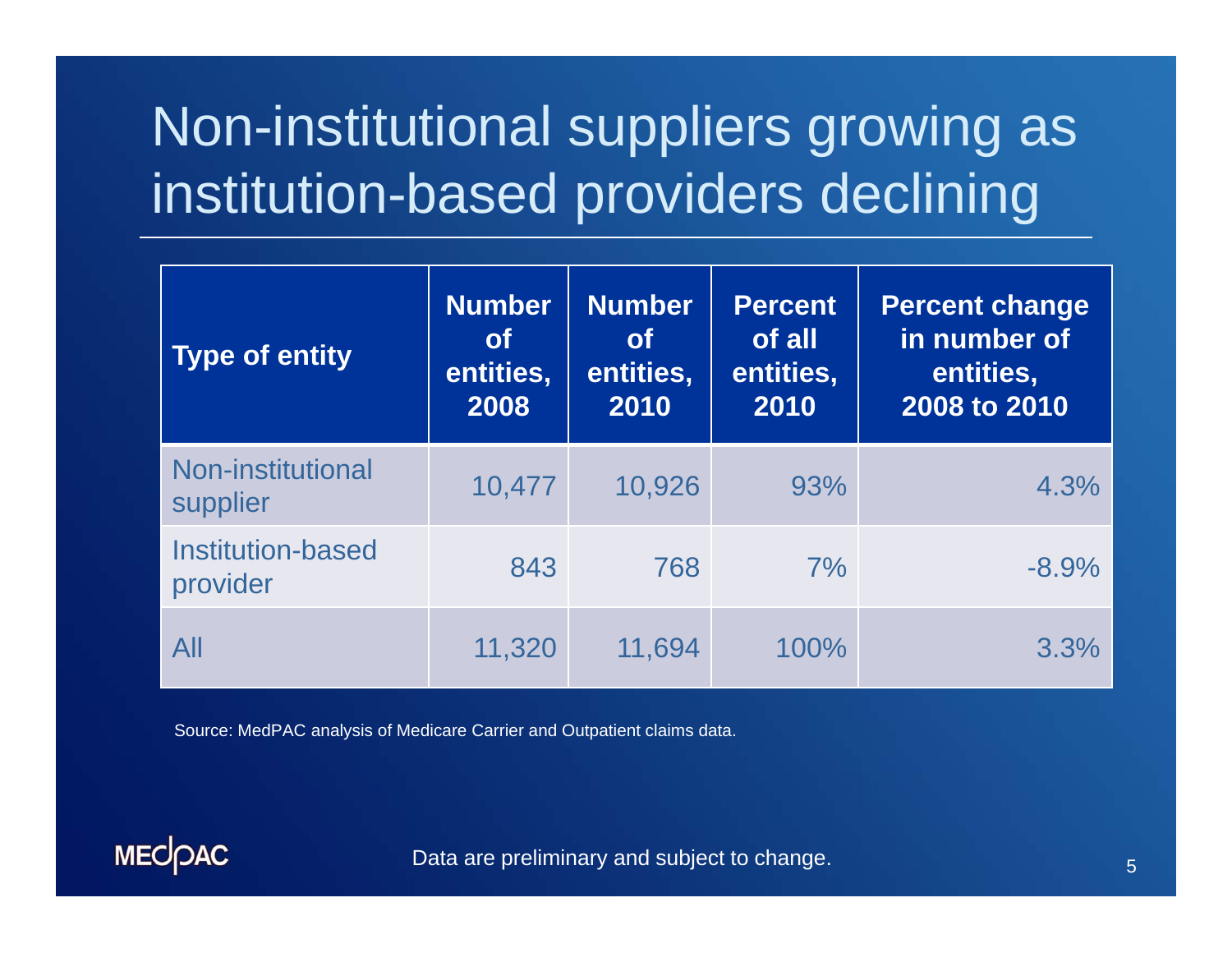# Non-institutional suppliers growing as institution-based providers declining

| <b>Type of entity</b>                | <b>Number</b><br><b>of</b><br>entities,<br>2008 | <b>Number</b><br><b>of</b><br>entities,<br>2010 | <b>Percent</b><br>of all<br>entities,<br>2010 | <b>Percent change</b><br>in number of<br>entities,<br>2008 to 2010 |
|--------------------------------------|-------------------------------------------------|-------------------------------------------------|-----------------------------------------------|--------------------------------------------------------------------|
| Non-institutional<br>supplier        | 10,477                                          | 10,926                                          | 93%                                           | 4.3%                                                               |
| <b>Institution-based</b><br>provider | 843                                             | 768                                             | 7%                                            | $-8.9%$                                                            |
| All                                  | 11,320                                          | 11,694                                          | 100%                                          | 3.3%                                                               |

Source: MedPAC analysis of Medicare Carrier and Outpatient claims data.

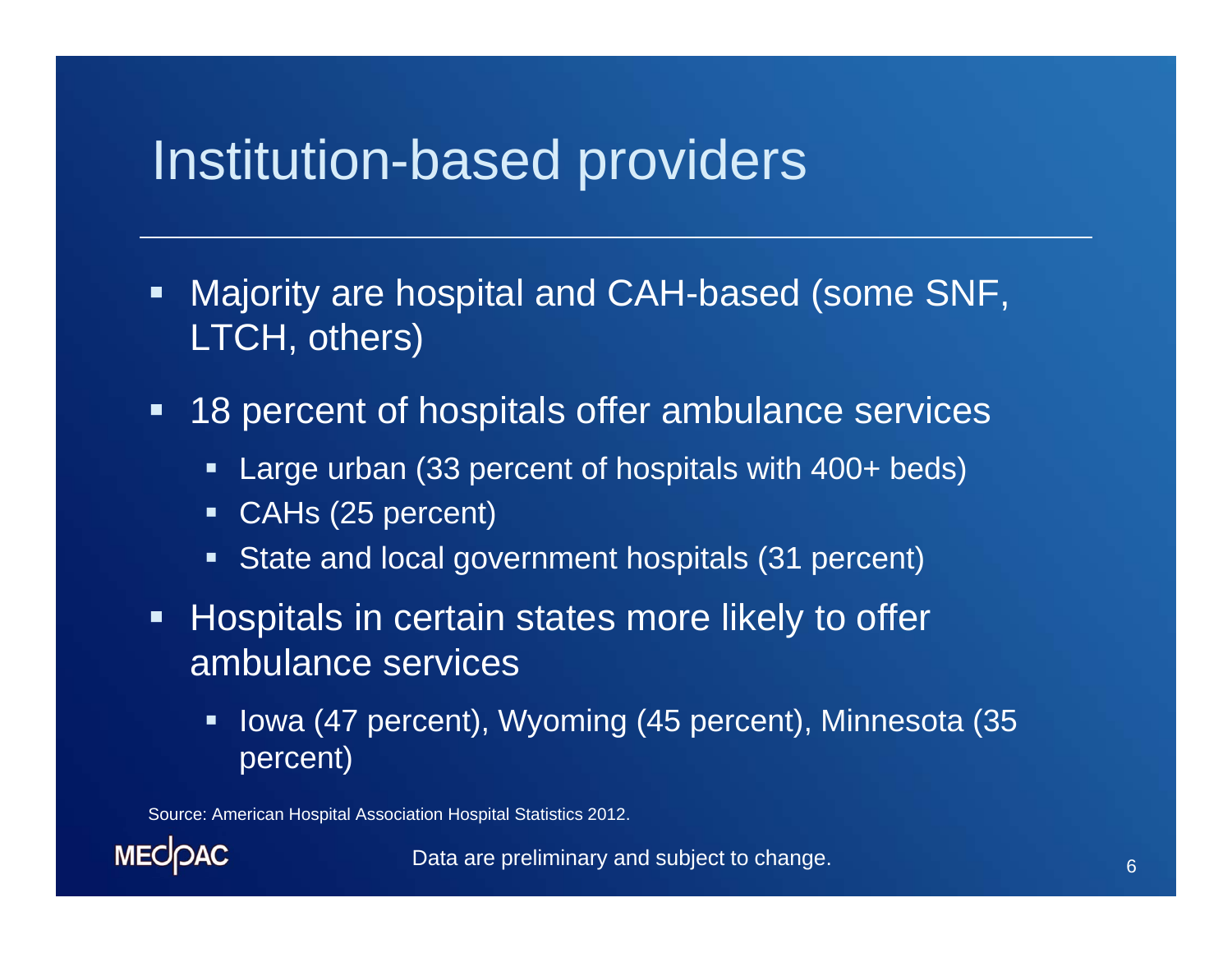### Institution-based providers

- $\blacksquare$  Majority are hospital and CAH-based (some SNF, LTCH, others)
- **18 percent of hospitals offer ambulance services** 
	- Ξ Large urban (33 percent of hospitals with 400+ beds)
	- $\blacksquare$ CAHs (25 percent)
	- $\blacksquare$ State and local government hospitals (31 percent)
- **Hospitals in certain states more likely to offer** ambulance services
	- Ξ Iowa (47 percent), Wyoming (45 percent), Minnesota (35 percent)

Source: American Hospital Association Hospital Statistics 2012.

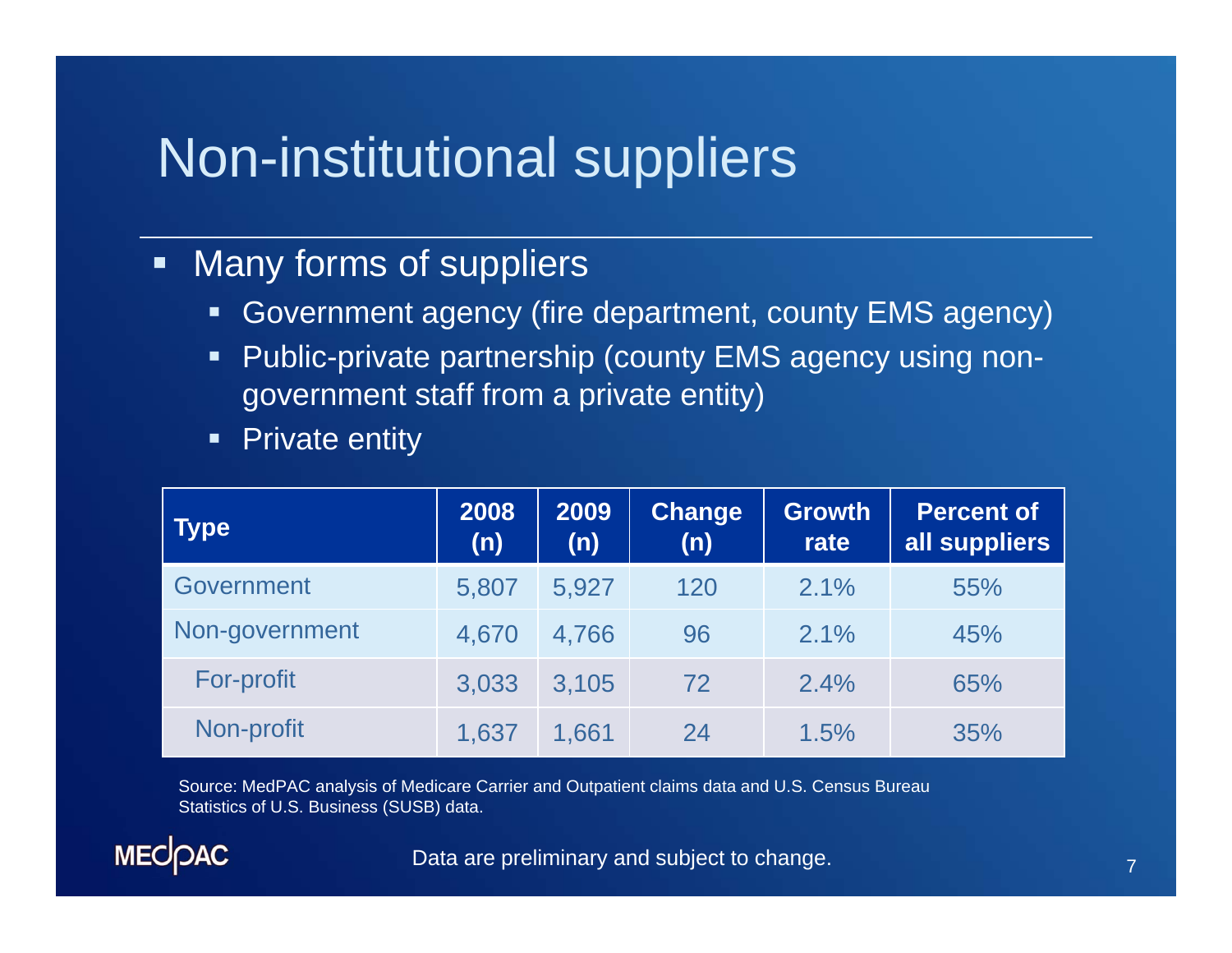## Non-institutional suppliers

### $\blacksquare$ Many forms of suppliers

- $\blacksquare$ Government agency (fire department, county EMS agency)
- $\blacksquare$  Public-private partnership (county EMS agency using nongovernment staff from a private entity)
- $\blacksquare$  . Private entity

| <b>Type</b>       | 2008<br>(n) | 2009<br>(n) | <b>Change</b><br>(n) | <b>Growth</b><br>rate | <b>Percent of</b><br>all suppliers |
|-------------------|-------------|-------------|----------------------|-----------------------|------------------------------------|
| Government        | 5,807       | 5,927       | 120                  | 2.1%                  | 55%                                |
| Non-government    | 4,670       | 4,766       | 96                   | 2.1%                  | 45%                                |
| <b>For-profit</b> | 3,033       | 3,105       | 72                   | 2.4%                  | 65%                                |
| Non-profit        | 1,637       | 1,661       | 24                   | 1.5%                  | 35%                                |

Source: MedPAC analysis of Medicare Carrier and Outpatient claims data and U.S. Census Bureau Statistics of U.S. Business (SUSB) data.

**MECOAC**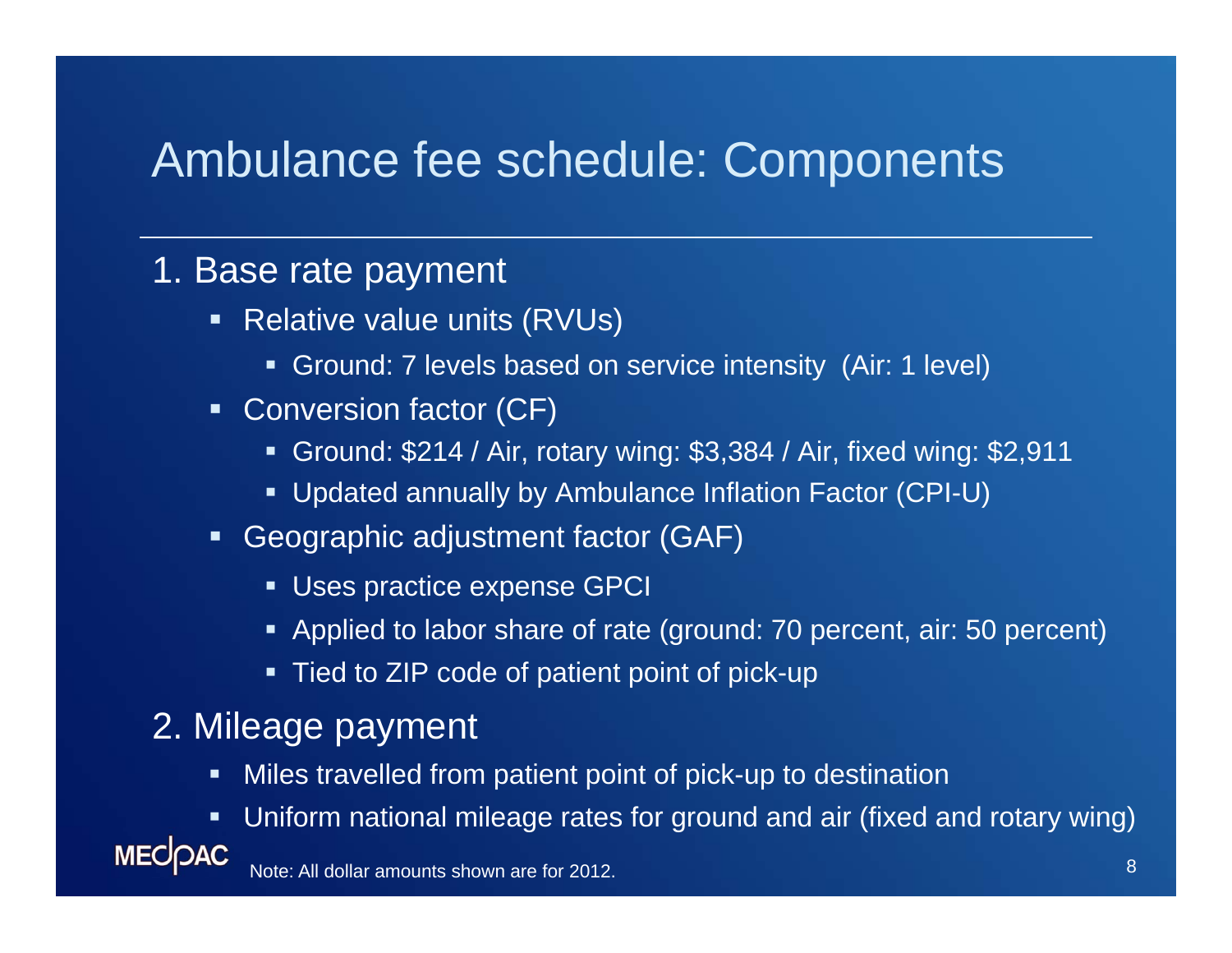### Ambulance fee schedule: Components

### 1. Base rate payment

- Relative value units (RVUs)
	- Ground: 7 levels based on service intensity (Air: 1 level)
- Conversion factor (CF)
	- Ground: \$214 / Air, rotary wing: \$3,384 / Air, fixed wing: \$2,911
	- Updated annually by Ambulance Inflation Factor (CPI-U)
- Geographic adjustment factor (GAF)
	- Uses practice expense GPCI
	- Applied to labor share of rate (ground: 70 percent, air: 50 percent)
	- Tied to ZIP code of patient point of pick-up

### 2. Mileage payment

- $\blacksquare$ Miles travelled from patient point of pick-up to destination
- Uniform national mileage rates for ground and air (fixed and rotary wing)

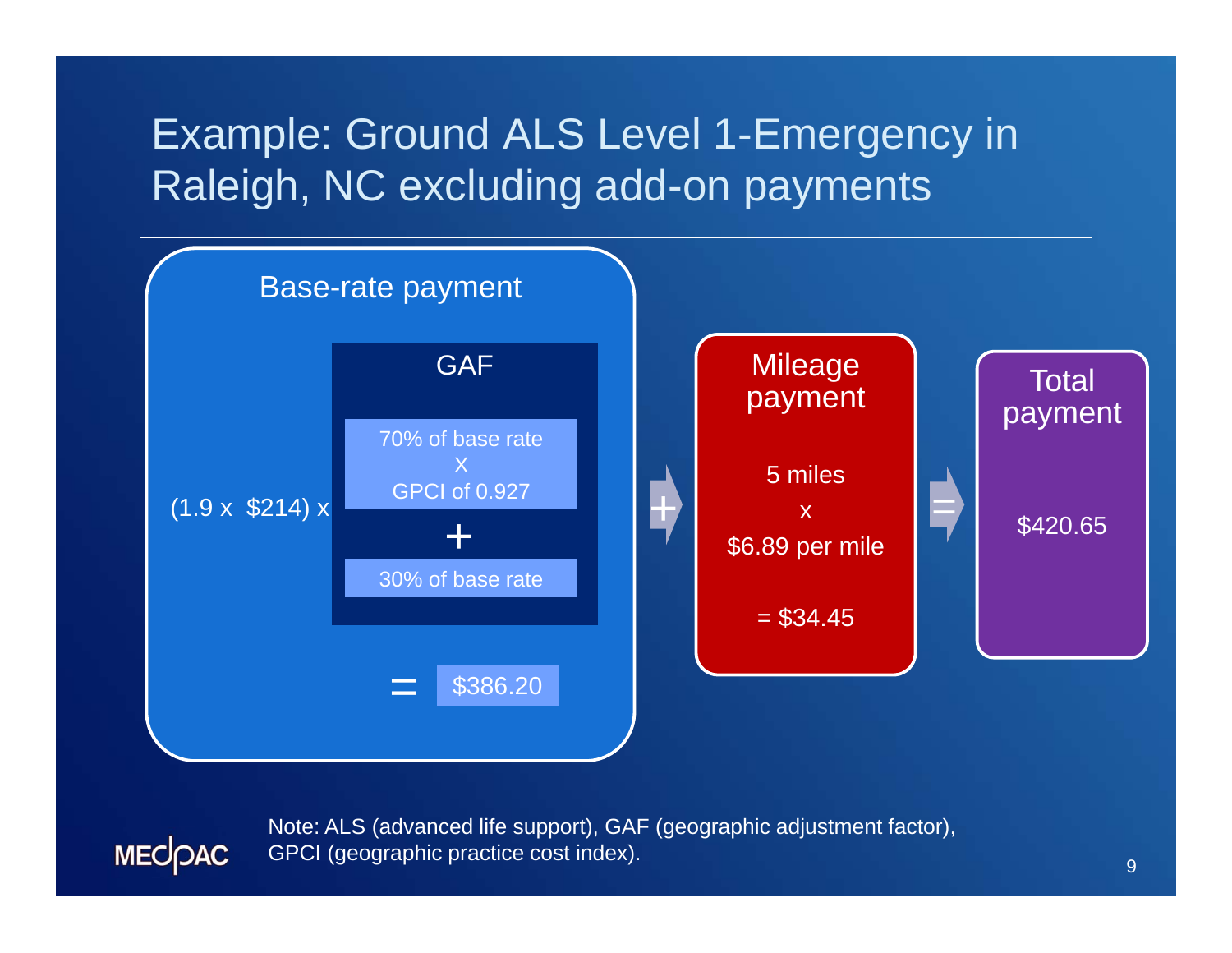### Example: Ground ALS Level 1-Emergency in Raleigh, NC excluding add-on payments



Note: ALS (advanced life support), GAF (geographic adjustment factor), GPCI (geographic practice cost index).

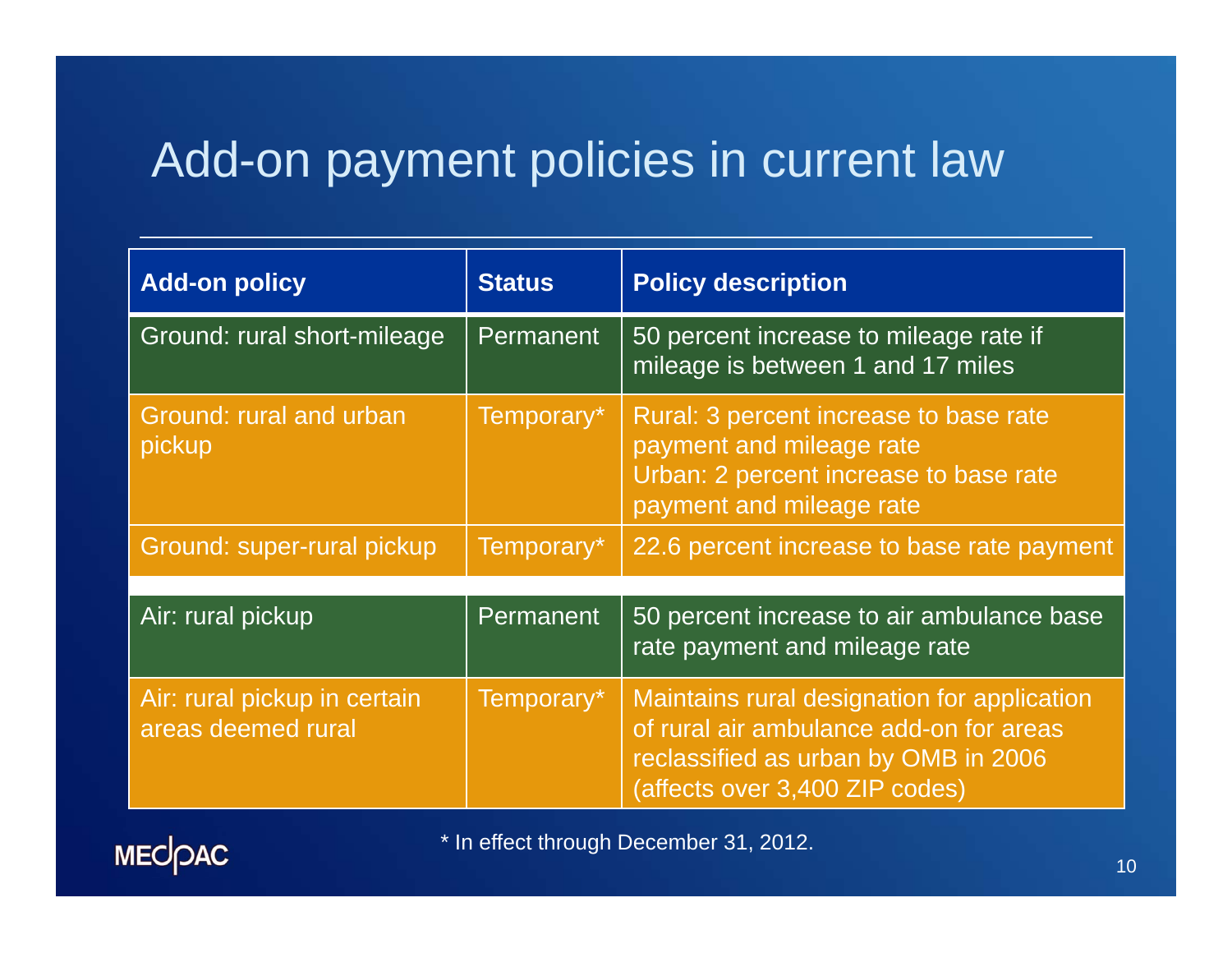### Add-on payment policies in current law

| <b>Add-on policy</b>                               | <b>Status</b> | <b>Policy description</b>                                                                                                                                        |
|----------------------------------------------------|---------------|------------------------------------------------------------------------------------------------------------------------------------------------------------------|
| Ground: rural short-mileage                        | Permanent     | 50 percent increase to mileage rate if<br>mileage is between 1 and 17 miles                                                                                      |
| Ground: rural and urban<br>pickup                  | Temporary*    | Rural: 3 percent increase to base rate<br>payment and mileage rate<br>Urban: 2 percent increase to base rate<br>payment and mileage rate                         |
| Ground: super-rural pickup                         | Temporary*    | 22.6 percent increase to base rate payment                                                                                                                       |
| Air: rural pickup                                  | Permanent     | 50 percent increase to air ambulance base<br>rate payment and mileage rate                                                                                       |
| Air: rural pickup in certain<br>areas deemed rural | Temporary*    | Maintains rural designation for application<br>of rural air ambulance add-on for areas<br>reclassified as urban by OMB in 2006<br>(affects over 3,400 ZIP codes) |



\* In effect through December 31, 2012.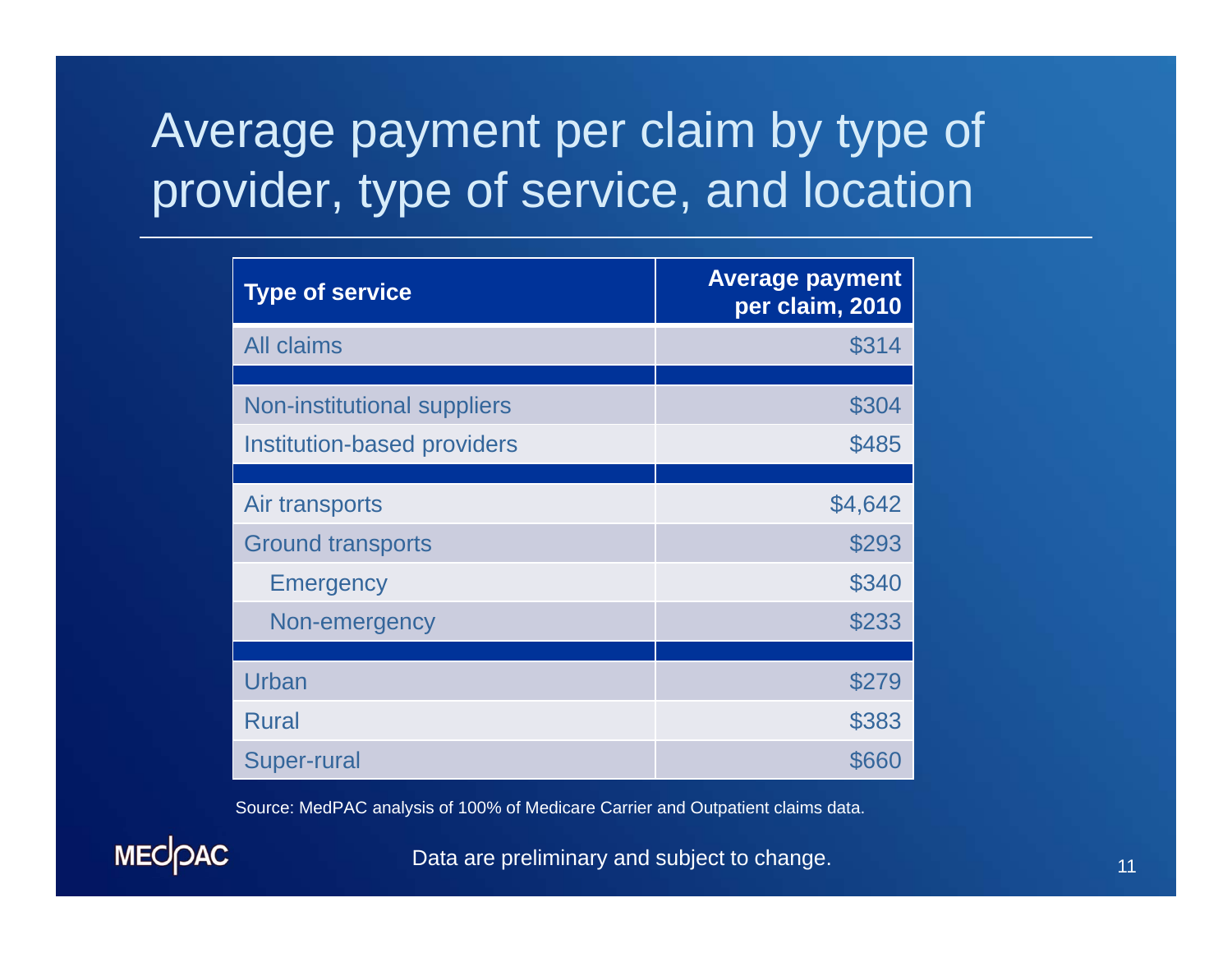## Average payment per claim by type of provider, type of service, and location

| <b>Type of service</b>             | <b>Average payment</b><br>per claim, 2010 |
|------------------------------------|-------------------------------------------|
| <b>All claims</b>                  | \$314                                     |
| <b>Non-institutional suppliers</b> | \$304                                     |
| <b>Institution-based providers</b> | \$485                                     |
| Air transports                     | \$4,642                                   |
| <b>Ground transports</b>           | \$293                                     |
| <b>Emergency</b>                   | \$340                                     |
| Non-emergency                      | \$233                                     |
|                                    |                                           |
| Urban                              | \$279                                     |
| Rural                              | \$383                                     |
| <b>Super-rural</b>                 | \$660                                     |

Source: MedPAC analysis of 100% of Medicare Carrier and Outpatient claims data.

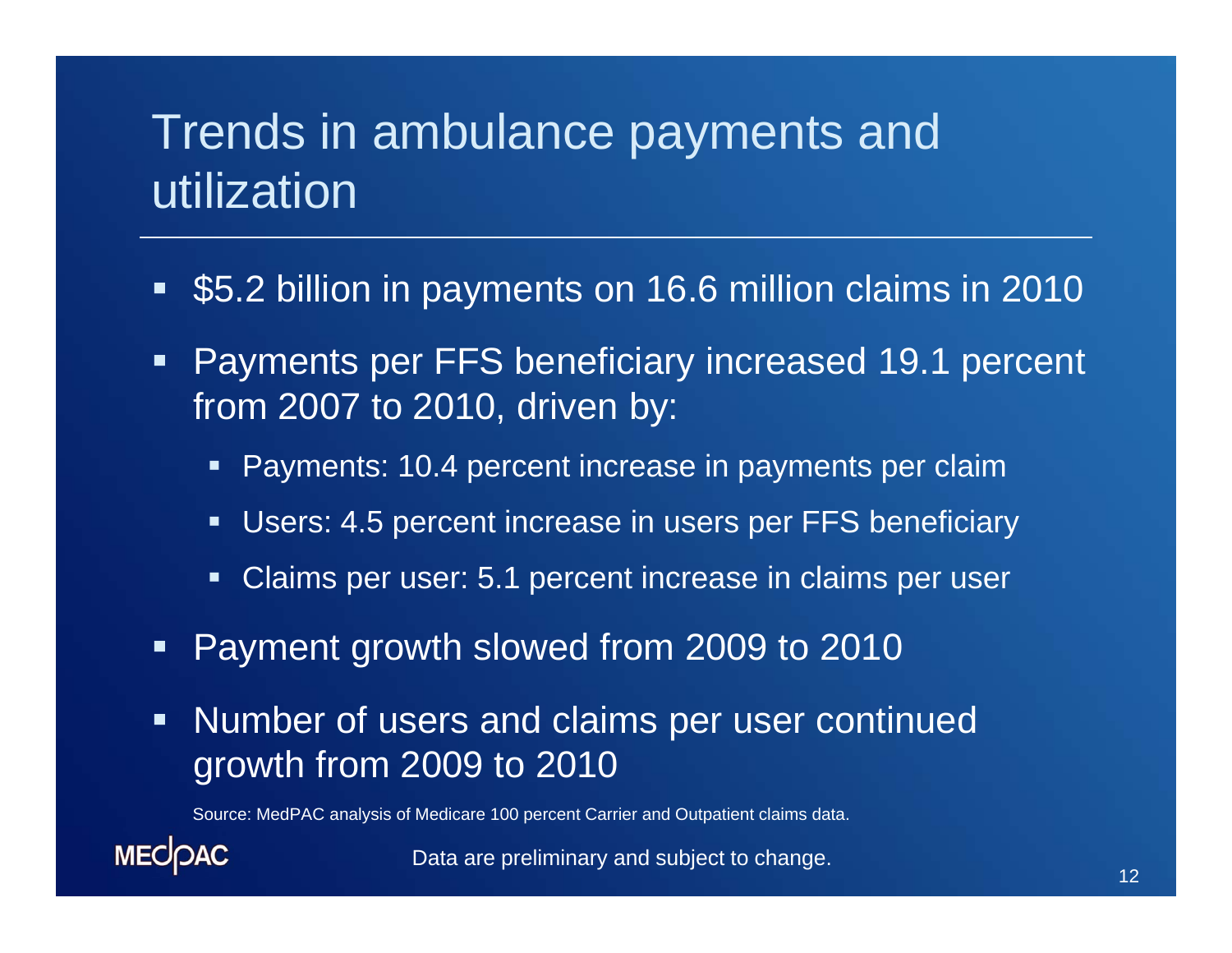### Trends in ambulance payments and utilization

- $\blacksquare$ \$5.2 billion in payments on 16.6 million claims in 2010
- $\blacksquare$  Payments per FFS beneficiary increased 19.1 percent from 2007 to 2010, driven by:
	- Payments: 10.4 percent increase in payments per claim
	- Users: 4.5 percent increase in users per FFS beneficiary
	- $\blacksquare$  . Claims per user: 5.1 percent increase in claims per user
- $\blacksquare$ Payment growth slowed from 2009 to 2010
- $\blacksquare$  Number of users and claims per user continued growth from 2009 to 2010

Source: MedPAC analysis of Medicare 100 percent Carrier and Outpatient claims data.

**MECOAC**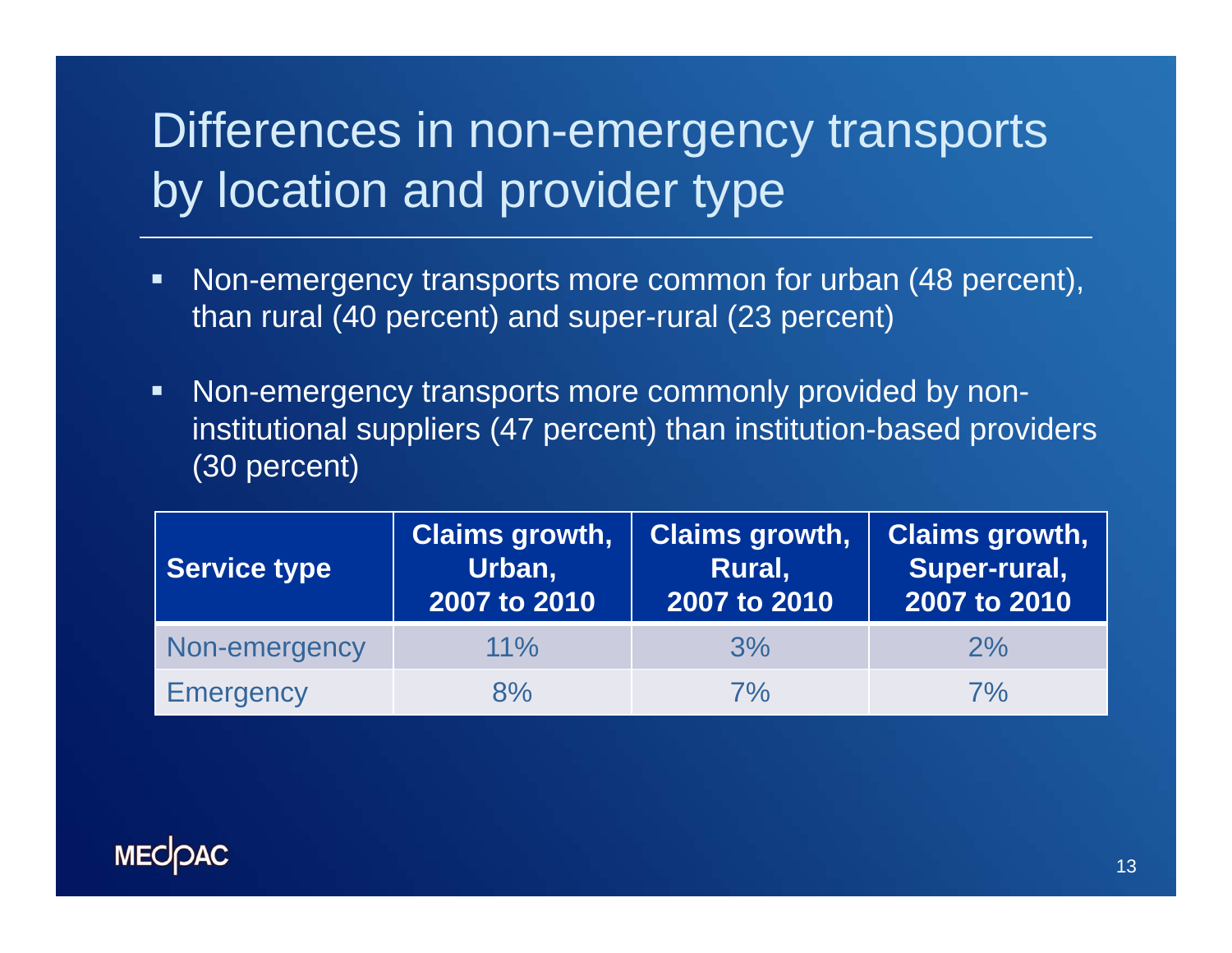## Differences in non-emergency transports by location and provider type

- $\blacksquare$  Non-emergency transports more common for urban (48 percent), than rural (40 percent) and super-rural (23 percent)
- $\blacksquare$  Non-emergency transports more commonly provided by noninstitutional suppliers (47 percent) than institution-based providers (30 percent)

| <b>Service type</b> | <b>Claims growth,</b><br>Urban,<br>2007 to 2010 | <b>Claims growth,</b><br>Rural,<br>2007 to 2010 | <b>Claims growth,</b><br>Super-rural,<br>2007 to 2010 |
|---------------------|-------------------------------------------------|-------------------------------------------------|-------------------------------------------------------|
| Non-emergency       | $11\%$                                          | 3%                                              | 2%                                                    |
| <b>Emergency</b>    | 8%                                              | 7%                                              | 7%                                                    |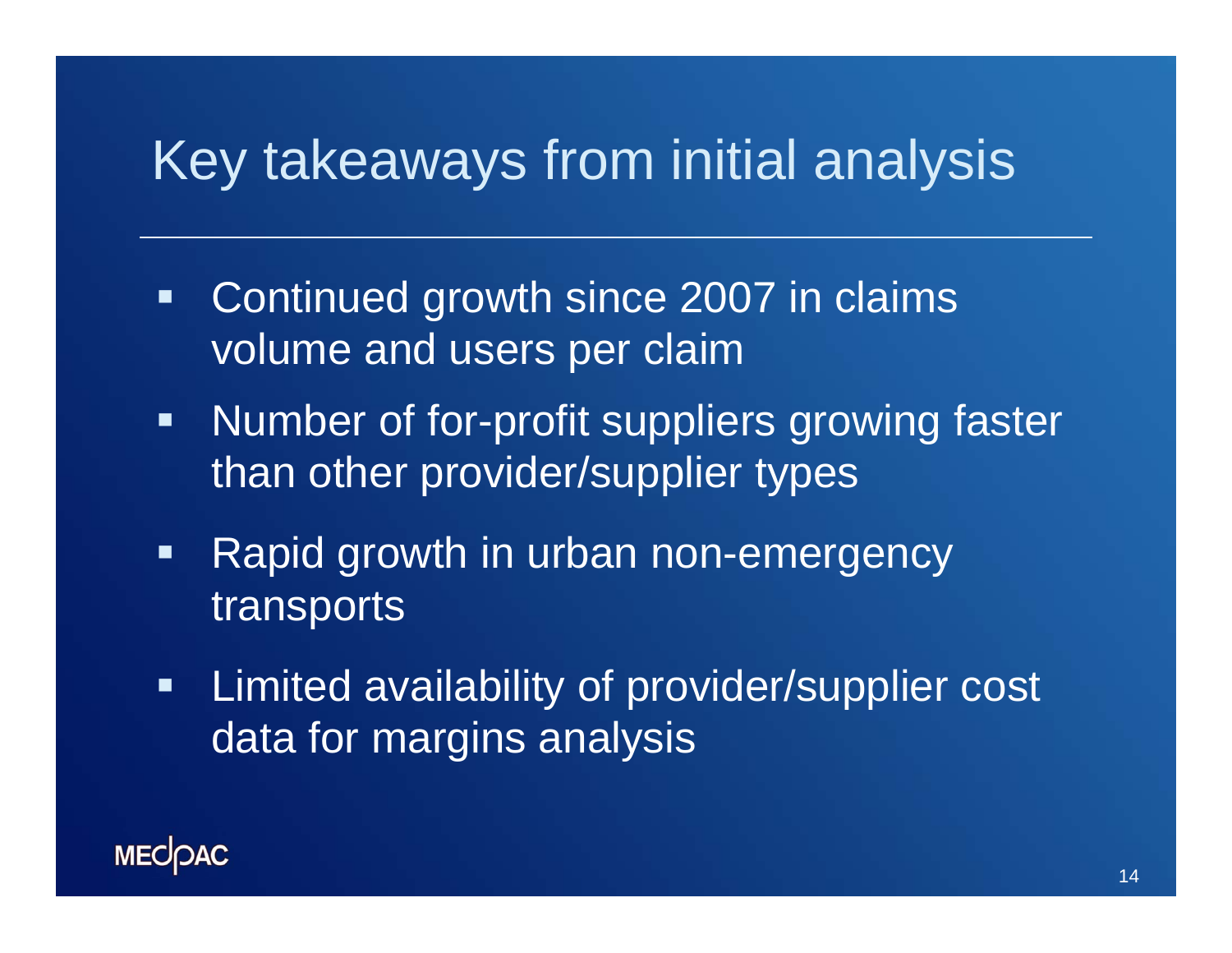## Key takeaways from initial analysis

- $\blacksquare$  Continued growth since 2007 in claims volume and users per claim
- $\blacksquare$  Number of for-profit suppliers growing faster than other provider/supplier types
- $\blacksquare$ Rapid growth in urban non-emergency transports
- $\blacksquare$  Limited availability of provider/supplier cost data for margins analysis